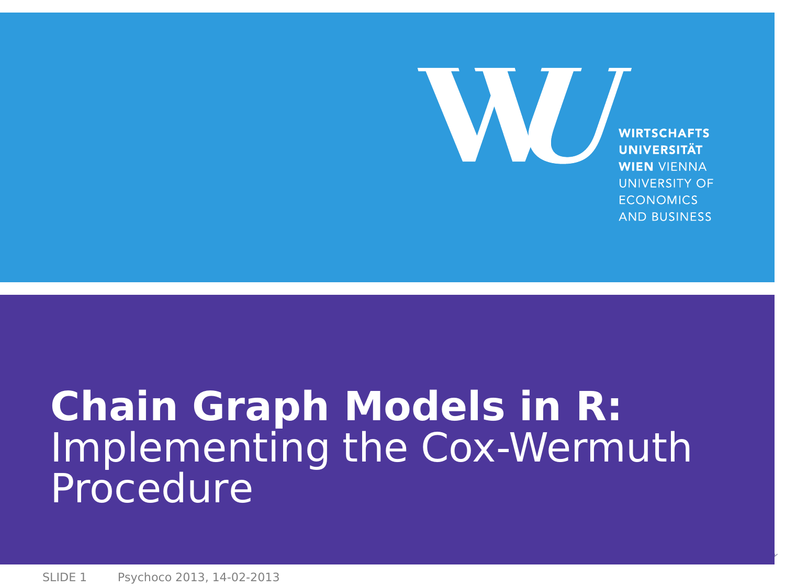<span id="page-0-0"></span>**WIRTSCHAFTS** UNIVERSITÄT **WIEN VIENNA UNIVERSITY OF ECONOMICS AND BUSINESS** 

W.

# **Chain Graph Models in R:** Implementing the Cox-Wermuth **Procedure**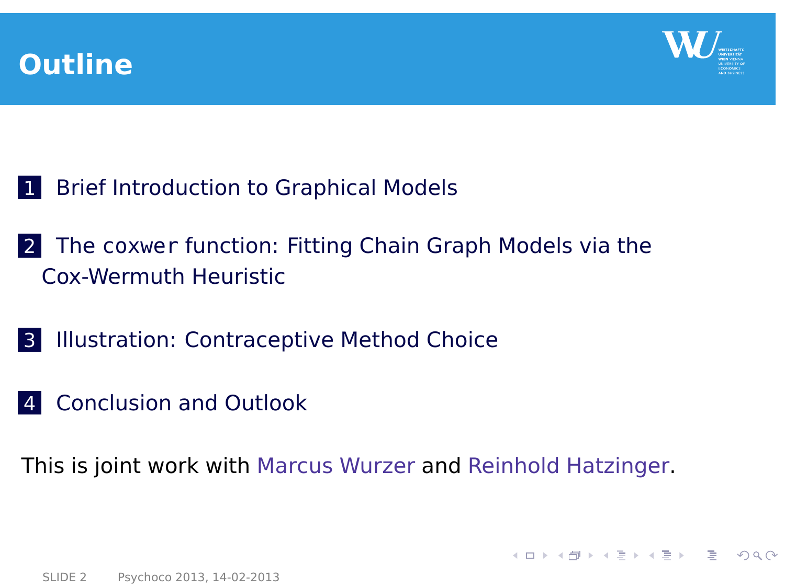



<span id="page-1-0"></span>**KORK E KERKERKERKER** 

- 1 [Brief Introduction to Graphical Models](#page-2-0)
- 2 The coxwer [function: Fitting Chain Graph Models via the](#page-7-0) [Cox-Wermuth Heuristic](#page-7-0)
- 3 [Illustration: Contraceptive Method Choice](#page-12-0)
- 4 [Conclusion and Outlook](#page-20-0)

This is joint work with Marcus Wurzer and Reinhold Hatzinger.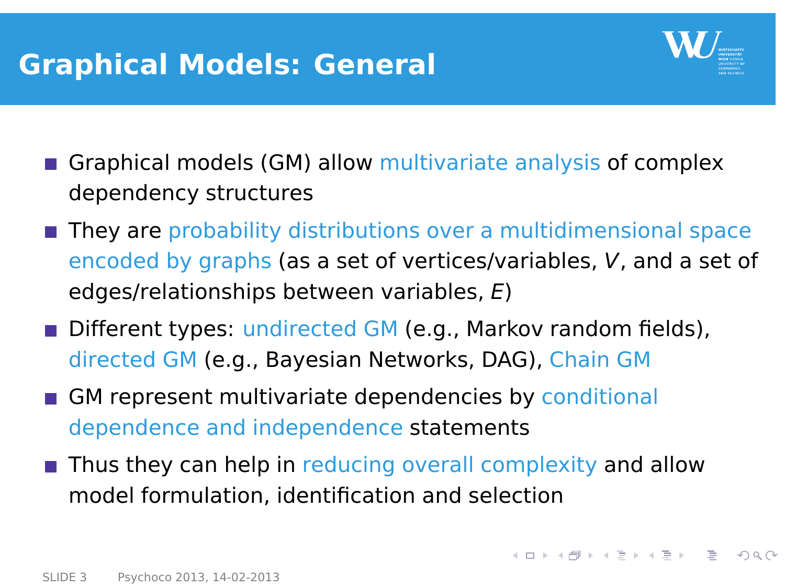# **Graphical Models: General**

<span id="page-2-0"></span>

- Graphical models (GM) allow multivariate analysis of complex dependency structures
- **They are probability distributions over a multidimensional space** encoded by graphs (as a set of vertices/variables, V, and a set of edges/relationships between variables, E)
- Different types: undirected GM (e.g., Markov random fields), directed GM (e.g., Bayesian Networks, DAG), Chain GM
- GM represent multivariate dependencies by conditional dependence and independence statements
- **Thus they can help in reducing overall complexity and allow** model formulation, identification and selection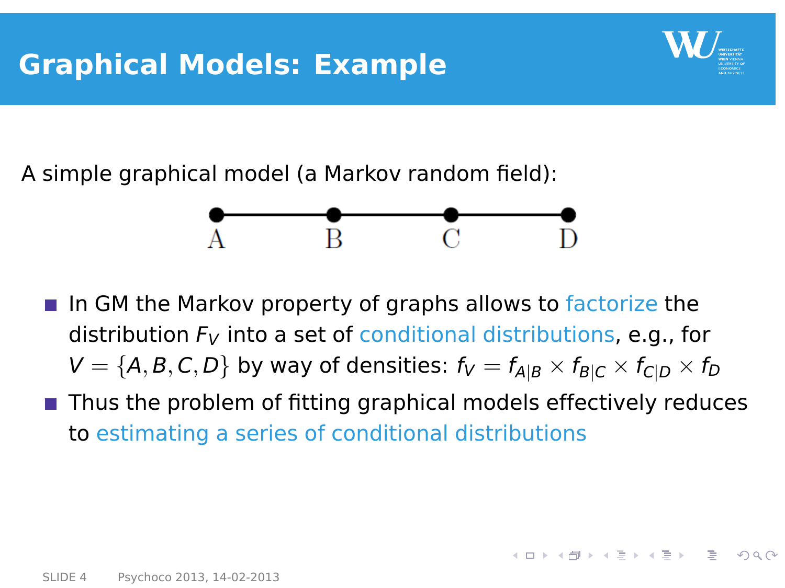

イロト イ押 トイヨ トイヨ トー

A simple graphical model (a Markov random field):



- In GM the Markov property of graphs allows to factorize the distribution  $F_V$  into a set of conditional distributions, e.g., for  $V = \{A, B, C, D\}$  by way of densities:  $f_V = f_{A|B} \times f_{B|C} \times f_{C|D} \times f_D$
- $\blacksquare$  Thus the problem of fitting graphical models effectively reduces to estimating a series of conditional distributions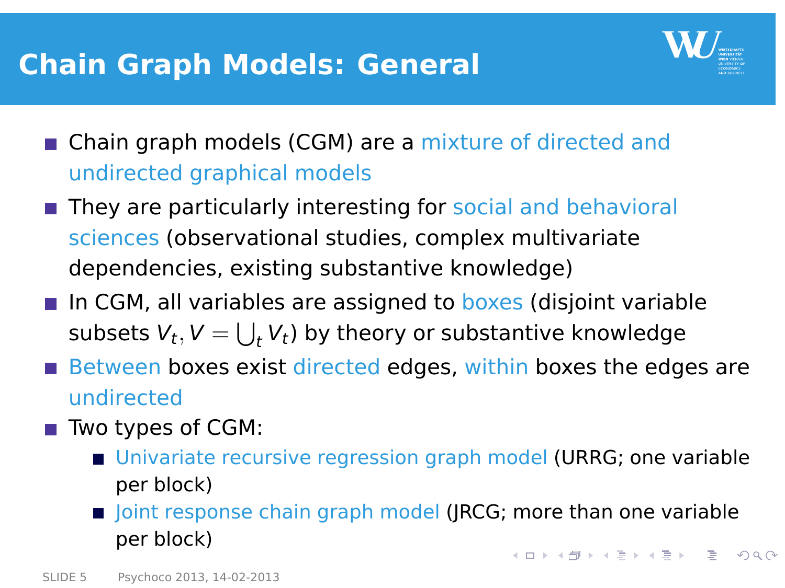### **Chain Graph Models: General**

<span id="page-4-0"></span>

- Chain graph models (CGM) are a mixture of directed and undirected graphical models
- They are particularly interesting for social and behavioral sciences (observational studies, complex multivariate dependencies, existing substantive knowledge)
- In CGM, all variables are assigned to boxes (disjoint variable subsets  $V_t, V = \bigcup_t V_t$ ) by theory or substantive knowledge
- $\blacksquare$  Between boxes exist directed edges, within boxes the edges are undirected
- Two types of CGM:
	- Univariate recursive regression graph model (URRG; one variable per block)
	- **Demoglem** Joint response chain graph model (JRCG; more than one variable per block) **KORK E KERKERKERKER**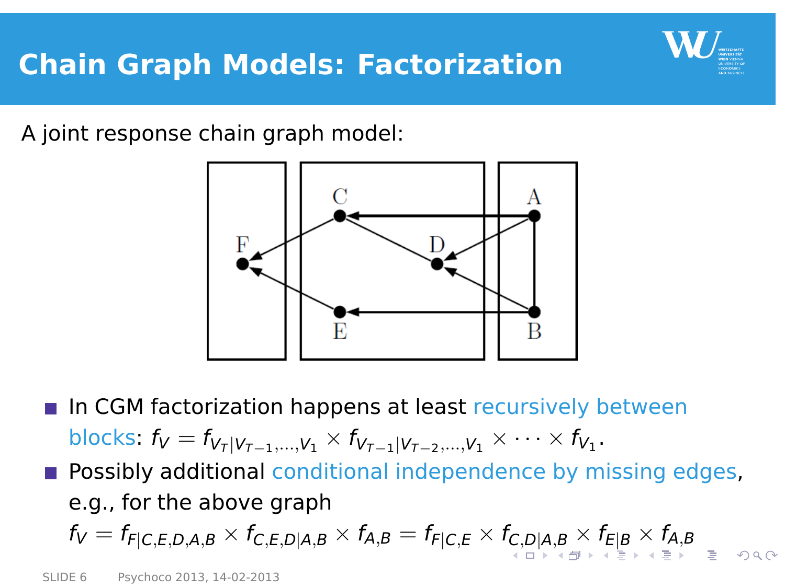<span id="page-5-0"></span>

A joint response chain graph model:



In CGM factorization happens at least recursively between blocks:  $f_V = f_{V_T | V_{T-1},...,V_1} \times f_{V_{T-1} | V_{T-2},...,V_1} \times \cdots \times f_{V_1}$ . **Possibly additional conditional independence by missing edges,** e.g., for the above graph  $f_V = f_{F|C,E,D,A,B} \times f_{C,E,D|A,B} \times f_{A,B} = f_{F|C,E} \times f_{C,D|A,B} \times f_{E|B} \times f_{A,B}$  $f_V = f_{F|C,E,D,A,B} \times f_{C,E,D|A,B} \times f_{A,B} = f_{F|C,E} \times f_{C,D|A,B} \times f_{E|B} \times f_{A,B}$  $f_V = f_{F|C,E,D,A,B} \times f_{C,E,D|A,B} \times f_{A,B} = f_{F|C,E} \times f_{C,D|A,B} \times f_{E|B} \times f_{A,B}$  $f_V = f_{F|C,E,D,A,B} \times f_{C,E,D|A,B} \times f_{A,B} = f_{F|C,E} \times f_{C,D|A,B} \times f_{E|B} \times f_{A,B}$  $f_V = f_{F|C,E,D,A,B} \times f_{C,E,D|A,B} \times f_{A,B} = f_{F|C,E} \times f_{C,D|A,B} \times f_{E|B} \times f_{A,B}$  $f_V = f_{F|C,E,D,A,B} \times f_{C,E,D|A,B} \times f_{A,B} = f_{F|C,E} \times f_{C,D|A,B} \times f_{E|B} \times f_{A,B}$  $f_V = f_{F|C,E,D,A,B} \times f_{C,E,D|A,B} \times f_{A,B} = f_{F|C,E} \times f_{C,D|A,B} \times f_{E|B} \times f_{A,B}$  $f_V = f_{F|C,E,D,A,B} \times f_{C,E,D|A,B} \times f_{A,B} = f_{F|C,E} \times f_{C,D|A,B} \times f_{E|B} \times f_{A,B}$  $f_V = f_{F|C,E,D,A,B} \times f_{C,E,D|A,B} \times f_{A,B} = f_{F|C,E} \times f_{C,D|A,B} \times f_{E|B} \times f_{A,B}$  $f_V = f_{F|C,E,D,A,B} \times f_{C,E,D|A,B} \times f_{A,B} = f_{F|C,E} \times f_{C,D|A,B} \times f_{E|B} \times f_{A,B}$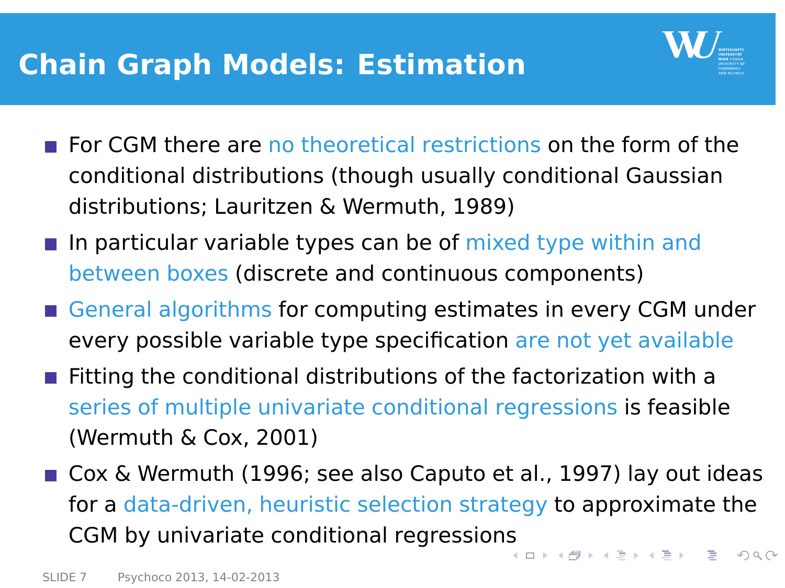# **Chain Graph Models: Estimation**

<span id="page-6-0"></span>

- For CGM there are no theoretical restrictions on the form of the conditional distributions (though usually conditional Gaussian distributions; Lauritzen & Wermuth, 1989)
- In particular variable types can be of mixed type within and between boxes (discrete and continuous components)
- General algorithms for computing estimates in every CGM under every possible variable type specification are not yet available
- **Fitting the conditional distributions of the factorization with a** series of multiple univariate conditional regressions is feasible (Wermuth & Cox, 2001)
- Cox & Wermuth (1996; see also Caputo et al., 1997) lay out ideas for a data-driven, heuristic selection strategy to approximate the CGM by univariate conditional regression[s](#page-5-0) キロ トイ何 トイヨ トイヨ トーヨー  $\Omega$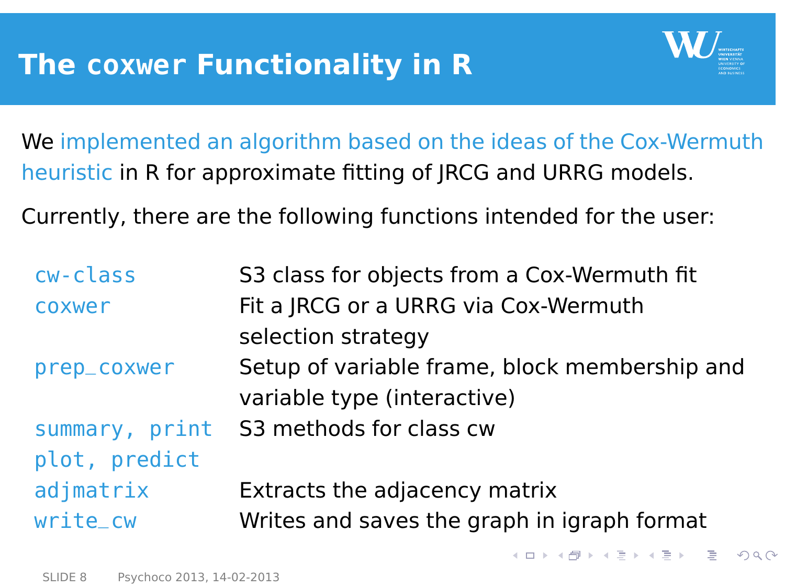

<span id="page-7-0"></span> $\mathbf{A} \otimes \mathbf{B} \rightarrow \mathbf{A} \otimes \mathbf{B} \rightarrow \mathbf{A} \otimes \mathbf{B} \rightarrow \mathbf{A} \otimes \mathbf{B} \rightarrow \mathbf{B} \otimes \mathbf{B} \rightarrow \mathbf{A} \otimes \mathbf{B} \rightarrow \mathbf{A} \otimes \mathbf{B} \rightarrow \mathbf{A} \otimes \mathbf{B} \rightarrow \mathbf{A} \otimes \mathbf{B} \rightarrow \mathbf{A} \otimes \mathbf{B} \rightarrow \mathbf{A} \otimes \mathbf{B} \rightarrow \mathbf{A} \otimes \mathbf{B} \rightarrow \mathbf{A} \otimes \mathbf{B} \$ 

We implemented an algorithm based on the ideas of the Cox-Wermuth heuristic in R for approximate fitting of JRCG and URRG models.

Currently, there are the following functions intended for the user:

| S3 class for objects from a Cox-Wermuth fit   |
|-----------------------------------------------|
| Fit a JRCG or a URRG via Cox-Wermuth          |
| selection strategy                            |
| Setup of variable frame, block membership and |
| variable type (interactive)                   |
| S3 methods for class cw                       |
|                                               |
| Extracts the adjacency matrix                 |
| Writes and saves the graph in igraph format   |
|                                               |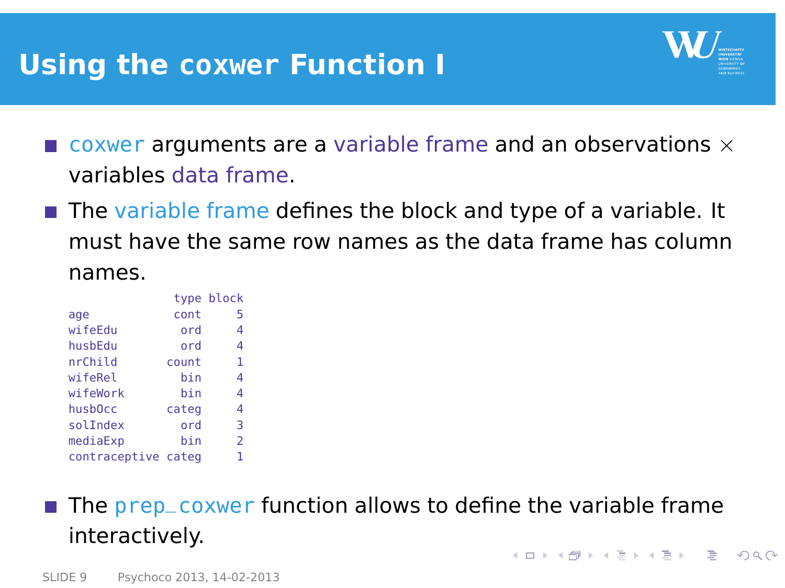### **Using the coxwer Function I**



- $\blacksquare$  coxwer arguments are a variable frame and an observations  $\times$ variables data frame.
- The variable frame defines the block and type of a variable. It must have the same row names as the data frame has column names.

|                     |       | type block     |
|---------------------|-------|----------------|
| age                 | cont  | 5              |
| wifeEdu             | ord   | 4              |
| husbEdu             | ord   | 4              |
| nrChild             | count | 1              |
| wifeRel             | hin   | 4              |
| wifeWork            | hin   | 4              |
| husb <sub>0cc</sub> | categ | 4              |
| solIndex            | ord   | 3              |
| mediaExp            | hin   | $\overline{2}$ |
| contraceptive categ |       | 1              |

#### $\blacksquare$  The prep\_coxwer function allows to define the variable frame interactively. K ロ X K @ X K 등 X K 등 X ( 등 )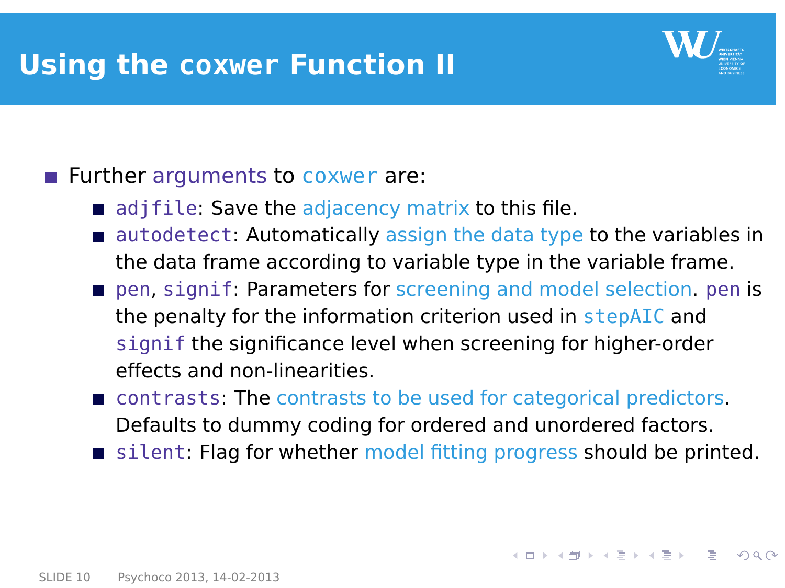### **Using the coxwer Function II**



### **Further arguments to coxwer are:**

- adjie: Save the adjacency matrix to this file.
- autodetect: Automatically assign the data type to the variables in the data frame according to variable type in the variable frame.
- pen, signif: Parameters for screening and model selection. pen is the penalty for the information criterion used in stepAIC and signif the significance level when screening for higher-order effects and non-linearities.
- **Contrasts: The contrasts to be used for categorical predictors.** Defaults to dummy coding for ordered and unordered factors.
- silent: Flag for whether model fitting progress should be printed.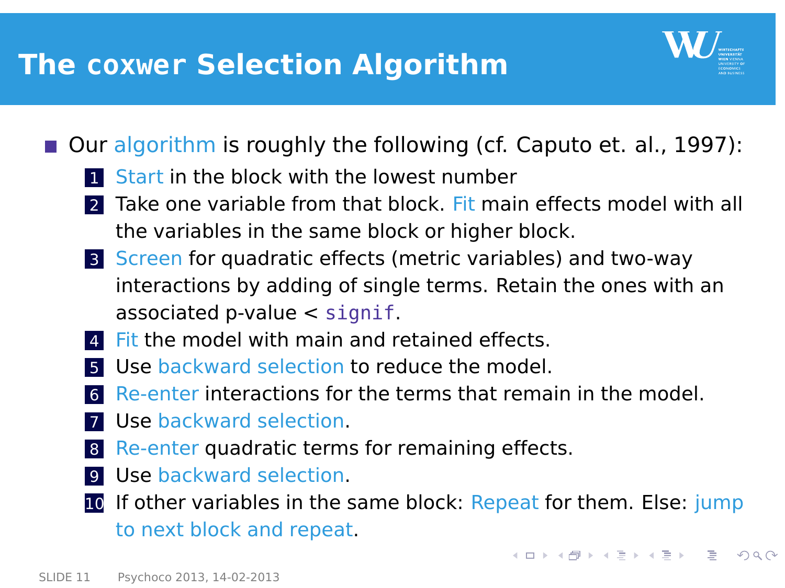## **The coxwer Selection Algorithm**



 $\mathbf{A} \oplus \mathbf{B} \rightarrow \mathbf{A} \oplus \mathbf{B} \rightarrow \mathbf{A} \oplus \mathbf{B} \rightarrow \mathbf{A} \oplus \mathbf{B} \rightarrow \mathbf{B} \oplus \mathbf{B} \oplus \mathbf{B} \oplus \mathbf{B} \oplus \mathbf{B} \oplus \mathbf{B} \oplus \mathbf{B} \oplus \mathbf{B} \oplus \mathbf{B} \oplus \mathbf{B} \oplus \mathbf{B} \oplus \mathbf{B} \oplus \mathbf{B} \oplus \mathbf{B} \oplus \mathbf{B} \oplus \mathbf{B} \oplus \mathbf{B} \opl$ 

 $\Omega$ 

- Our algorithm is roughly the following (cf. Caputo et. al., 1997):
	- **Start in the block with the lowest number**
	- **2** Take one variable from that block. Fit main effects model with all the variables in the same block or higher block.
	- 3 Screen for quadratic effects (metric variables) and two-way interactions by adding of single terms. Retain the ones with an associated p-value  $\lt$  signif.
	- Fit the model with main and retained effects.
	- **5** Use backward selection to reduce the model.
	- 6 Re-enter interactions for the terms that remain in the model.
	- **7** Use backward selection.
	- 8 Re-enter quadratic terms for remaining effects.
	- 9 Use backward selection.
	- 10 If other variables in the same block: Repeat for them. Else: jump to next block and repeat.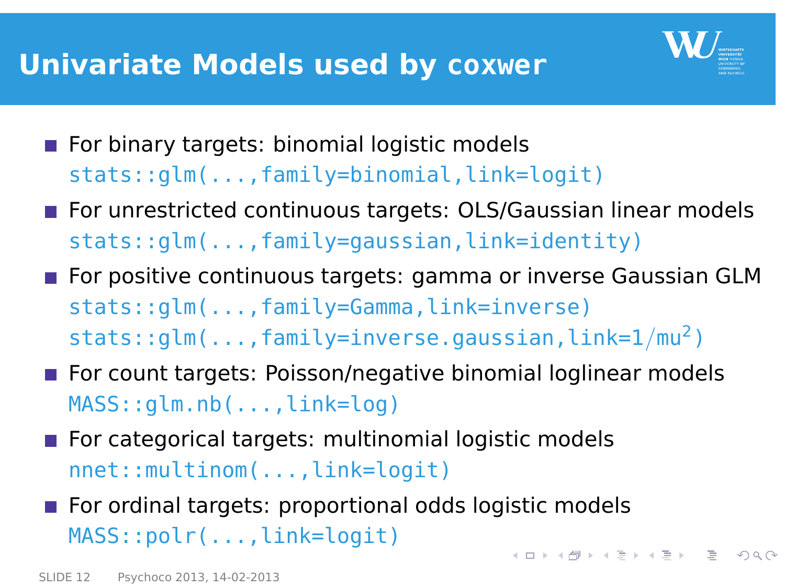### **Univariate Models used by coxwer**



- For binary targets: binomial logistic models stats::glm(...,family=binomial,link=logit)
- **For unrestricted continuous targets: OLS/Gaussian linear models** stats::glm(...,family=gaussian,link=identity)
- **For positive continuous targets: gamma or inverse Gaussian GLM** stats::glm(...,family=Gamma,link=inverse)  $stats::qlm(...,family=inverse.gaussian,link=1/mu<sup>2</sup>)$
- For count targets: Poisson/negative binomial loglinear models MASS::glm.nb(...,link=log)
- For categorical targets: multinomial logistic models nnet::multinom(...,link=logit)
- For ordinal targets: proportional odds logistic models MASS::polr(...,link=logit) 4 ロ X 4 @ X 4 ミ X 4 ミ X = 2 4 9 Q Q +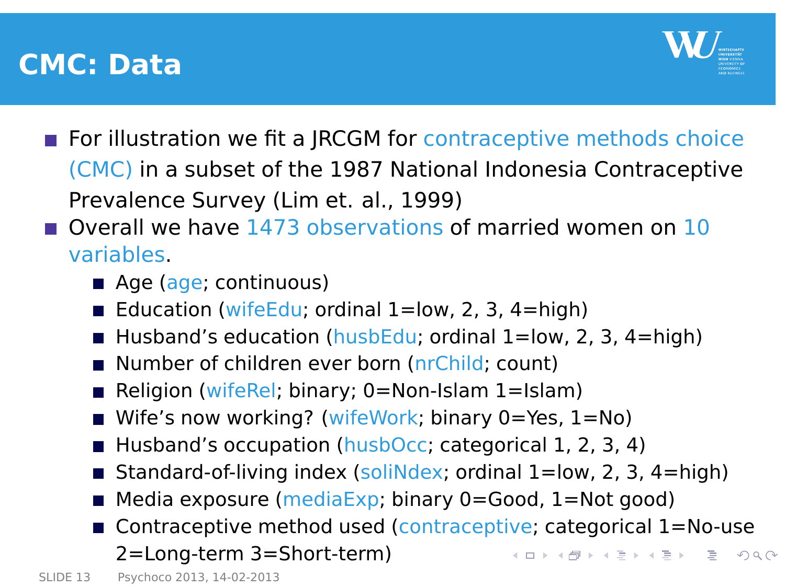### **CMC: Data**

<span id="page-12-0"></span>

- For illustration we fit a JRCGM for contraceptive methods choice (CMC) in a subset of the 1987 National Indonesia Contraceptive Prevalence Survey (Lim et. al., 1999)
- Overall we have 1473 observations of married women on 10 variables.
	- Age (age; continuous)
	- Education (wifeEdu; ordinal  $1=$ low, 2, 3,  $4=$ high)
	- Husband's education (husbEdu; ordinal  $1=$ low, 2, 3, 4=high)
	- Number of children ever born (nrChild; count)
	- Religion (wifeRel; binary; 0=Non-Islam 1=Islam)
	- Wife's now working? (wifeWork; binary 0=Yes, 1=No)
	- Husband's occupation (husbOcc; categorical 1, 2, 3, 4)
	- Standard-of-living index (soliNdex; ordinal 1=low, 2, 3, 4=high)
	- Media exposure (mediaExp; binary 0=Good, 1=Not good)
	- Contraceptive method used (contraceptive; categorical 1=No-use 2=Long-term 3=Short-term)  $\left\{ \begin{array}{ccc} \square & \rightarrow & \left\{ \bigoplus \bullet & \leftarrow \Xi \right\} & \leftarrow \Xi \end{array} \right.$  $QQ$ E.

SLIDE 13 [Psychoco 2013, 14-02-2013](#page-0-0)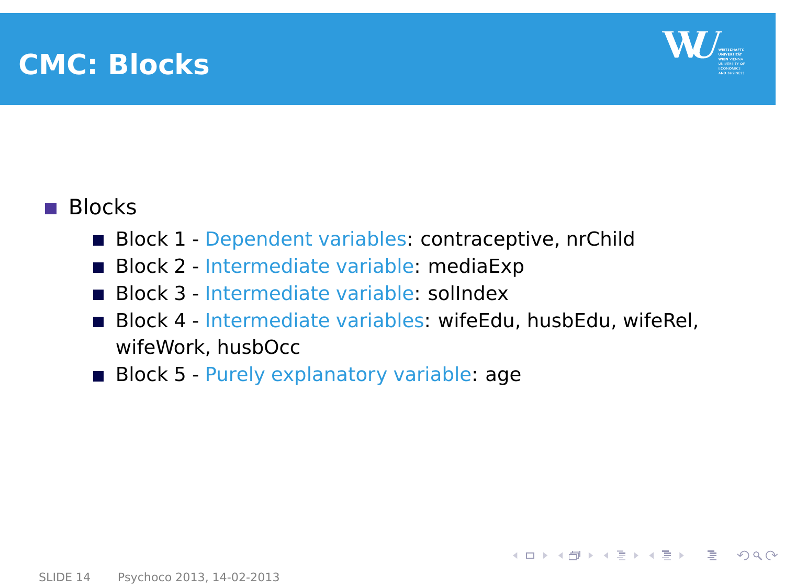### **CMC: Blocks**



K ロ ) (K @ ) (K @ ) (K @ ) ( @ )

 $\Omega$ 

### **Blocks**

- Block 1 Dependent variables: contraceptive, nrChild  $\blacksquare$
- Block 2 Intermediate variable: mediaExp
- Block 3 Intermediate variable: solIndex
- Block 4 Intermediate variables: wifeEdu, husbEdu, wifeRel, wifeWork, husbOcc
- Block 5 Purely explanatory variable: age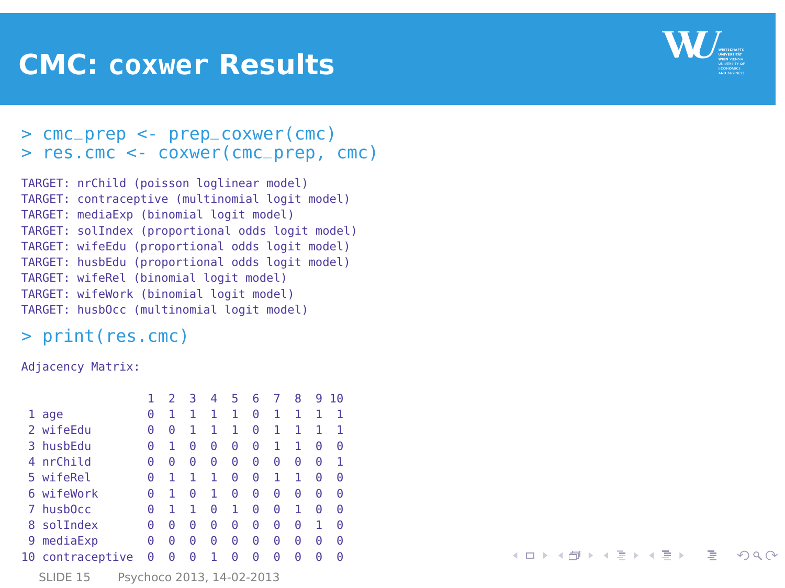### **CMC: coxwer Results**



K ロ ▶ K @ ▶ K 경 ▶ K 경 ▶ │ 경

 $\Omega$ 

#### > cmc\_prep <- prep\_coxwer(cmc) > res.cmc <- coxwer(cmc\_prep, cmc)

```
TARGET: nrChild (poisson loglinear model)
TARGET: contraceptive (multinomial logit model)
TARGET: mediaExp (binomial logit model)
TARGET: solIndex (proportional odds logit model)
TARGET: wifeEdu (proportional odds logit model)
TARGET: husbEdu (proportional odds logit model)
TARGET: wifeRel (binomial logit model)
TARGET: wifeWork (binomial logit model)
TARGET: husbOcc (multinomial logit model)
```
#### > print(res.cmc)

Adjacency Matrix:

|                                       |                     |   |   | 3 | 4 | 5 | 6 | 7 | 8 | 9 | 10 |
|---------------------------------------|---------------------|---|---|---|---|---|---|---|---|---|----|
|                                       | age                 | Θ | 1 |   | 1 | 1 | Θ | 1 |   |   |    |
| $\overline{2}$                        | wifeEdu             | Θ | Θ |   | 1 | 1 | Θ | 1 |   | 1 |    |
| 3                                     | husbEdu             | Θ | 1 | Θ | Θ | Θ | Θ | 1 | 1 | Θ | Θ  |
| 4                                     | nrChild             | Θ | Θ | Θ | Θ | Θ | Θ | Θ | Θ | Θ | 1  |
| 5                                     | wifeRel             | Θ | 1 | 1 | 1 | Θ | Θ | 1 | 1 | Θ | Θ  |
| 6                                     | wifeWork            | Θ | 1 | Θ | 1 | Θ | Θ | Θ | Θ | Θ | Θ  |
| 7                                     | husb <sub>0cc</sub> | Θ | 1 | 1 | Θ | 1 | Θ | Θ | 1 | Θ | Θ  |
| 8                                     | solIndex            | Θ | Θ | Θ | Θ | Θ | Θ | Θ | Θ | 1 | Θ  |
| 9                                     | mediaExp            | Θ | Θ | Θ | Θ | Θ | Θ | Θ | Θ | Θ | Θ  |
| 10                                    | contraceptive       | Θ | Θ | Θ | 1 | Θ | Θ | Θ | Θ | Θ | Θ  |
| Psychoco 2013, 14-02-2013<br>SLIDE 15 |                     |   |   |   |   |   |   |   |   |   |    |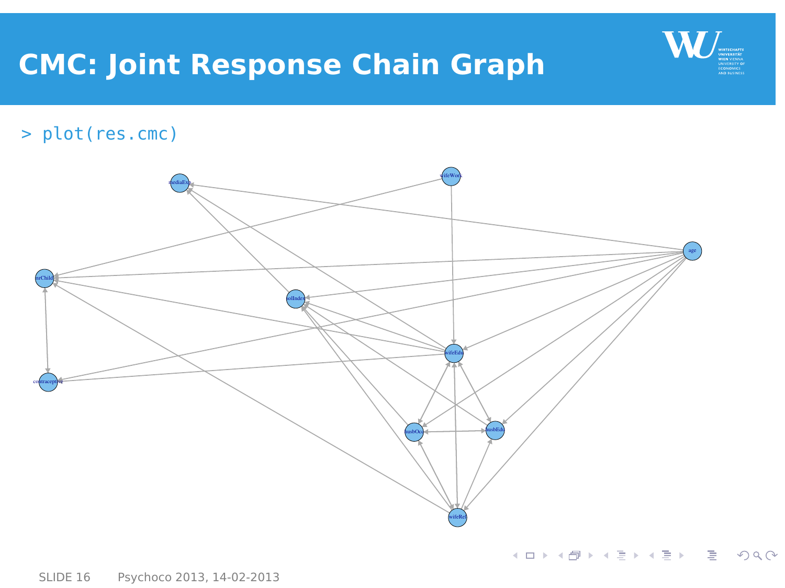### **CMC: Joint Response Chain Graph**



 $2Q$ 

> plot(res.cmc)

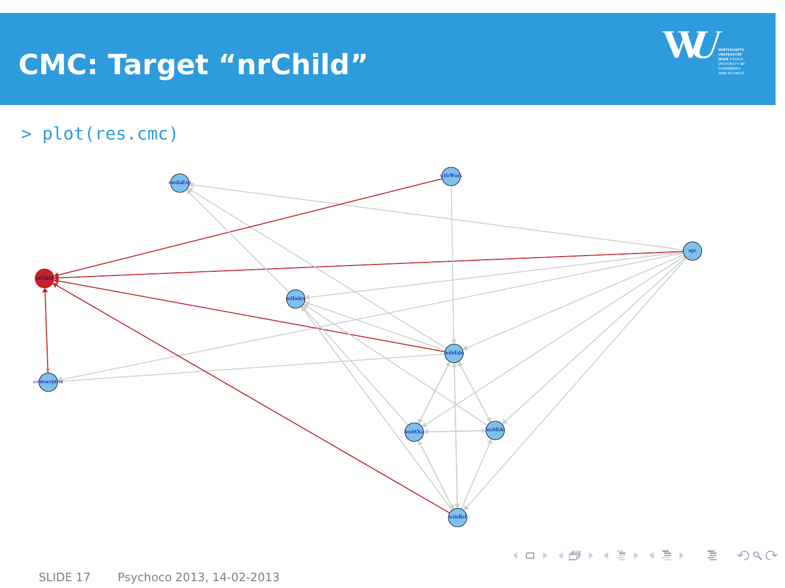### **CMC: Target "nrChild"**



> plot(res.cmc)

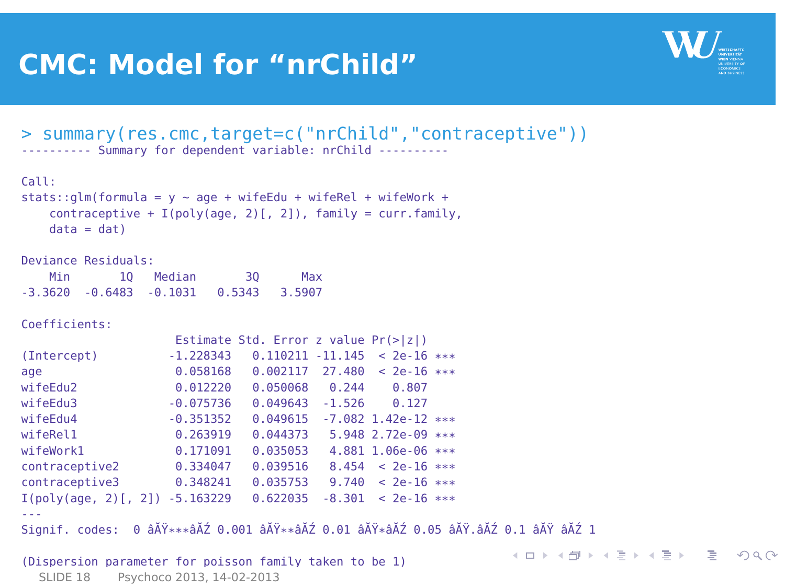### **CMC: Model for "nrChild"**



イロト イ押 トイヨ トイヨ トー

E.

 $\Omega$ 

```
> summary(res.cmc,target=c("nrChild","contraceptive"))
---------- Summary for dependent variable: nrChild ----------
```

```
Call:
stats::qlm(formula = y \sim aqe + wifeEdu + wifeRel + wifeWork +contraceptive + I(poly(aqe, 2) [, 2]), family = curr.family,
    data = dat)
```
Deviance Residuals: Min 1Q Median 3Q Max -3.3620 -0.6483 -0.1031 0.5343 3.5907

Coefficients:

```
Estimate Std. Error z value Pr(>|z|)
(Intercept) -1.228343 0.110211 -11.145 < 2e-16 ***
age 0.058168 0.002117 27.480 < 2e-16 ***<br>wifeEdu2 0.012220 0.050068 0.244 0.807
                      0.012220 0.050068 0.244 0.807<br>A 075736 0.049643 -1.526 0.127
wifeEdu3 -0.075736 0.049643 -1.526
wifeEdu4 -0.351352 0.049615 -7.082 1.42e-12 ***<br>wifeBel1 0.263919 0.044373 5.948 2.72e-09 ***
wifeRel1 0.263919 0.044373 5.948 2.72e-09 ***<br>wifeWork1 0.171091 0.035053 4.881 1.06e-06 ***
                0.171091 0.035053 4.881 1.06e-06 ***
contraceptive2 0.334047 0.039516 8.454 < 2e-16 ***
contraceptive3 0.348241 0.035753 9.740 < 2e-16 ***
I(poly(age, 2)[, 2]) -5.163229 0.622035 -8.301 < 2e-16 ***
---
Signif. codes: 0 âĂŸ***âĂŹ 0.001 âĂŸ**âĂŹ 0.01 âĂŸ*âĂŹ 0.05 âĂŸ.âĂŹ 0.1 âĂŸ âĂŹ 1
(Dispersion parameter for poisson family taken to be 1)
```

```
SLIDE 18 Psychoco 2013, 14-02-2013
```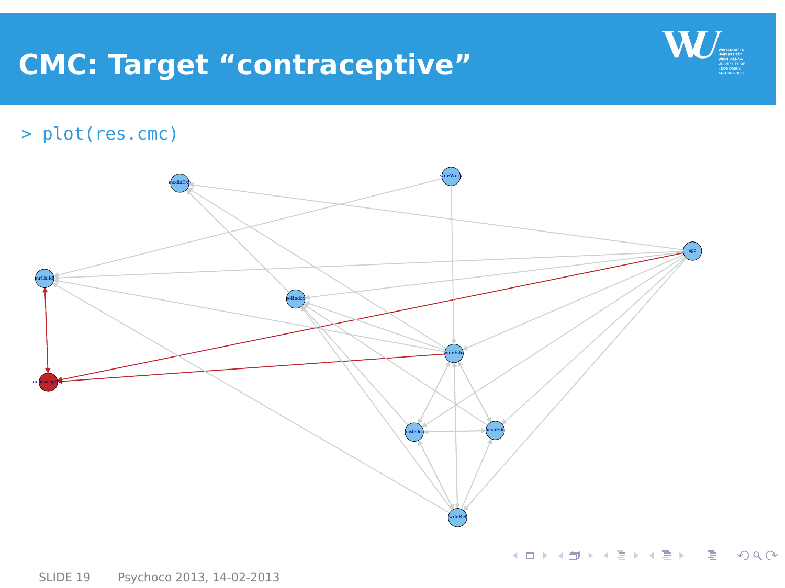### **CMC: Target "contraceptive"**



> plot(res.cmc)

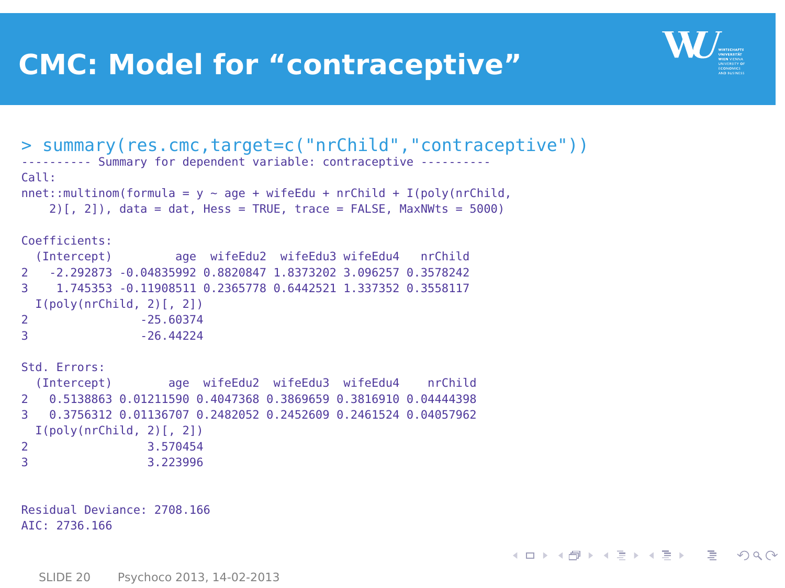### **CMC: Model for "contraceptive"**



キロメ イ何メ イヨメ イヨメーヨ

<span id="page-19-0"></span> $\Omega$ 

```
> summary(res.cmc,target=c("nrChild","contraceptive"))
---------- Summary for dependent variable: contraceptive ----------
Call:
nnet::multinom(formula = y \sim age + wifeEdu + nrChild + I(poly(nrChild,
   2)[, 2]), data = dat, Hess = TRUE, trace = FALSE, MaxNWts = 5000)
Coefficients:
 (Intercept) age wifeEdu2 wifeEdu3 wifeEdu4 nrChild
2 -2.292873 -0.04835992 0.8820847 1.8373202 3.096257 0.3578242
3 1.745353 -0.11908511 0.2365778 0.6442521 1.337352 0.3558117
 I(poly(nrChild, 2)[, 2])
2 -25.60374<br>3 -26.44224
              3 -26.44224
Std. Errors:
 (Intercept) age wifeEdu2 wifeEdu3 wifeEdu4 nrChild
2 0.5138863 0.01211590 0.4047368 0.3869659 0.3816910 0.04444398
3 0.3756312 0.01136707 0.2482052 0.2452609 0.2461524 0.04057962
 I(poly(nrChild, 2)[, 2])
2 3.570454
                3 3.223996
Residual Deviance: 2708.166
```
AIC: 2736.166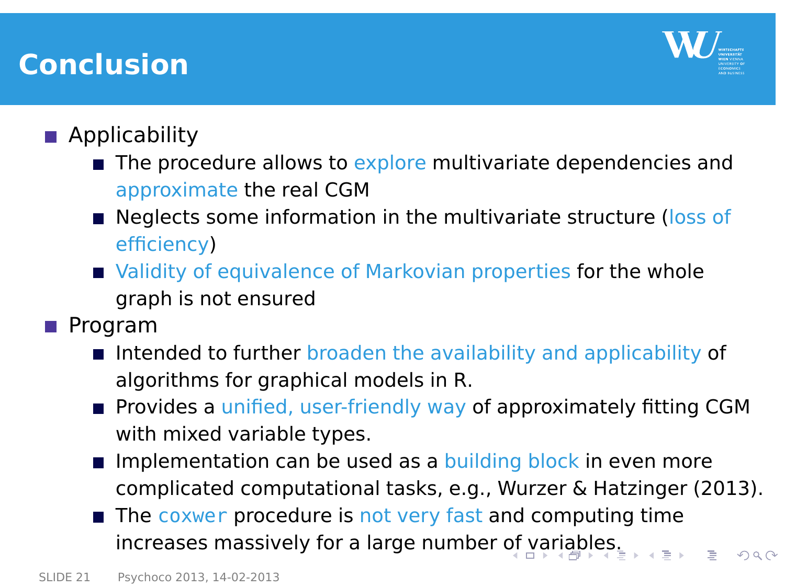### **Conclusion**

<span id="page-20-0"></span>

### **Applicability**

- $\blacksquare$  The procedure allows to explore multivariate dependencies and approximate the real CGM
- **Neglects some information in the multivariate structure (loss of** efficiency)
- Validity of equivalence of Markovian properties for the whole graph is not ensured
- **Program** 
	- Intended to further broaden the availability and applicability of algorithms for graphical models in R.
	- **Provides a unified, user-friendly way of approximately fitting CGM** with mixed variable types.
	- Implementation can be used as a building block in even more complicated computational tasks, e.g., Wurzer & Hatzinger (2013).
	- The coxwer procedure is not very fast and computing time  $\blacksquare$ increases massively for a large number [of](#page-19-0) [va](#page-21-0)[ri](#page-19-0)[ab](#page-20-0)[l](#page-21-0)[e](#page-19-0)[s.](#page-20-0)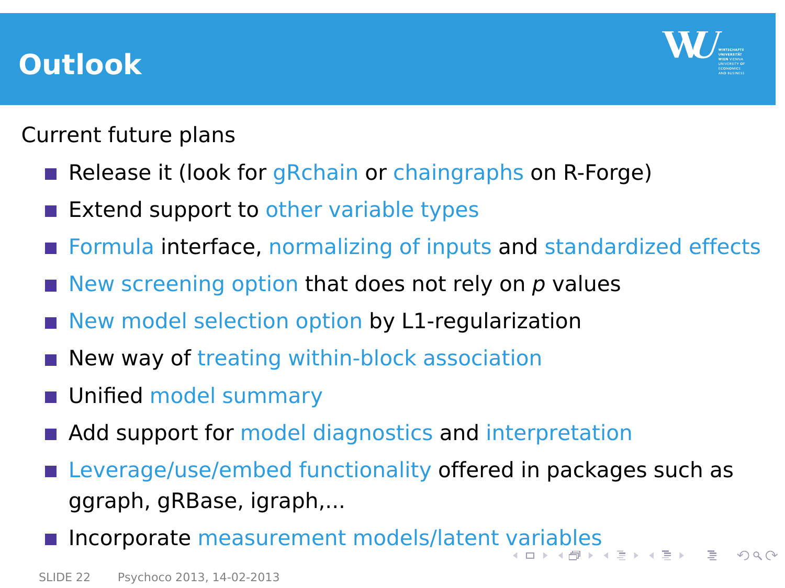### **Outlook**

<span id="page-21-0"></span>

Current future plans

- Release it (look for gRchain or chaingraphs on R-Forge)
- Extend support to other variable types
- **Formula interface, normalizing of inputs and standardized effects**
- New screening option that does not rely on  $p$  values
- New model selection option by L1-regularization
- New way of treating within-block association
- **Unified model summary**
- Add support for model diagnostics and interpretation
- Leverage/use/embed functionality offered in packages such as ggraph, gRBase, igraph,...
- Incorporate measurement models/latent [va](#page-20-0)[ria](#page-22-0)[ble](#page-21-0)[s](#page-22-0)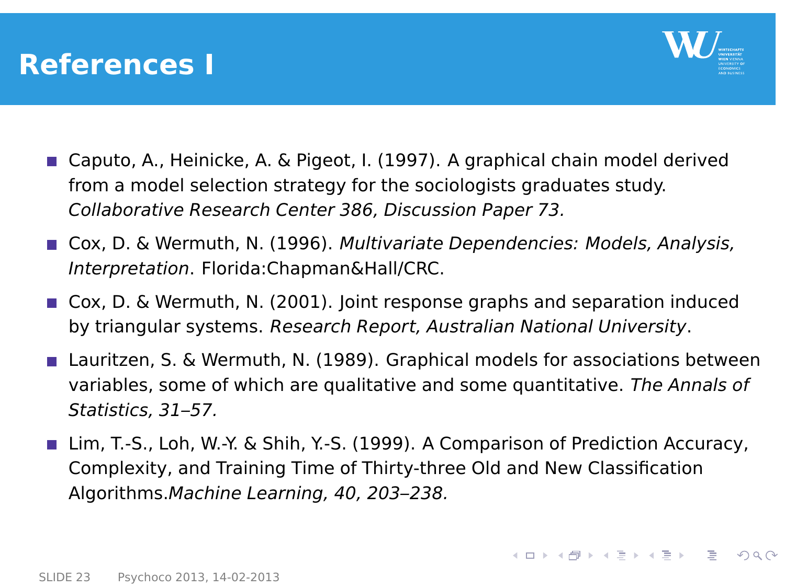### **References I**

<span id="page-22-0"></span>

- Caputo, A., Heinicke, A. & Pigeot, I. (1997). A graphical chain model derived from a model selection strategy for the sociologists graduates study. Collaborative Research Center 386, Discussion Paper 73.
- Cox, D. & Wermuth, N. (1996). Multivariate Dependencies: Models, Analysis, Interpretation. Florida:Chapman&Hall/CRC.
- Cox, D. & Wermuth, N. (2001). Joint response graphs and separation induced by triangular systems. Research Report, Australian National University.
- Lauritzen, S. & Wermuth, N. (1989). Graphical models for associations between variables, some of which are qualitative and some quantitative. The Annals of Statistics, 31–57.
- Lim, T.-S., Loh, W.-Y. & Shih, Y.-S. (1999). A Comparison of Prediction Accuracy, Complexity, and Training Time of Thirty-three Old and New Classification Algorithms.Machine Learning, 40, 203–238.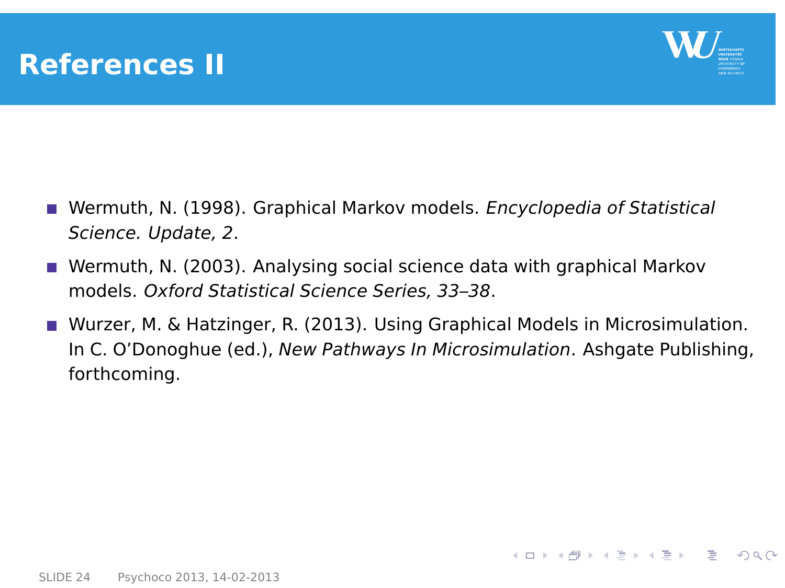### **References II**



イロト イ母 トイヨト イヨト ニヨ

 $\Omega$ 

- **Nermuth, N. (1998). Graphical Markov models. Encyclopedia of Statistical** Science. Update, 2.
- Wermuth, N. (2003). Analysing social science data with graphical Markov models. Oxford Statistical Science Series, 33–38.
- Wurzer, M. & Hatzinger, R. (2013). Using Graphical Models in Microsimulation. In C. O'Donoghue (ed.), New Pathways In Microsimulation. Ashgate Publishing, forthcoming.